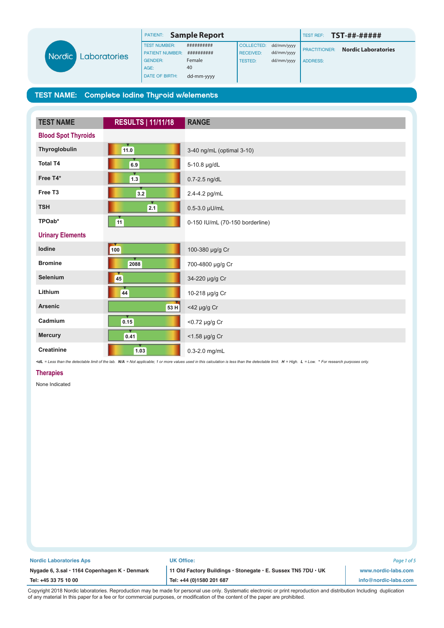

| PATIENT:               | <b>Sample Report</b> |                   |            | <b>TEST REF:</b>     | TST-##-#####               |  |
|------------------------|----------------------|-------------------|------------|----------------------|----------------------------|--|
| <b>TEST NUMBER:</b>    | ##########           | <b>COLLECTED:</b> | dd/mm/yyyy | <b>PRACTITIONER:</b> |                            |  |
| <b>PATIENT NUMBER:</b> |                      | <b>RECEIVED:</b>  | dd/mm/yyyy |                      | <b>Nordic Laboratories</b> |  |
| <b>GENDER:</b>         | Female               | <b>TESTED:</b>    | dd/mm/yyyy | <b>ADDRESS:</b>      |                            |  |
| AGE:                   | 40                   |                   |            |                      |                            |  |
| <b>DATE OF BIRTH:</b>  | dd-mm-yyyy           |                   |            |                      |                            |  |

| <b>TEST NAME</b>           | <b>RESULTS   11/11/18</b> | <b>RANGE</b>                    |  |  |
|----------------------------|---------------------------|---------------------------------|--|--|
| <b>Blood Spot Thyroids</b> |                           |                                 |  |  |
| Thyroglobulin              | 11.0                      | 3-40 ng/mL (optimal 3-10)       |  |  |
| <b>Total T4</b>            | 6.9                       | 5-10.8 µg/dL                    |  |  |
| Free T4*                   | $\boxed{1.3}$             | 0.7-2.5 ng/dL                   |  |  |
| Free T <sub>3</sub>        | $3.2$                     | 2.4-4.2 pg/mL                   |  |  |
| <b>TSH</b>                 | 2.1                       | $0.5 - 3.0 \mu$ U/mL            |  |  |
| TPOab*<br>11               |                           | 0-150 IU/mL (70-150 borderline) |  |  |
| <b>Urinary Elements</b>    |                           |                                 |  |  |
| lodine                     | 100                       | 100-380 µg/g Cr                 |  |  |
| <b>Bromine</b>             | 2088                      | 700-4800 µg/g Cr                |  |  |
| Selenium                   | 45                        | 34-220 µg/g Cr                  |  |  |
| Lithium                    | 44                        | 10-218 µg/g Cr                  |  |  |
| <b>Arsenic</b>             | 53H                       | <42 µg/g Cr                     |  |  |
| Cadmium                    | 0.15                      | <0.72 µg/g Cr                   |  |  |
| <b>Mercury</b>             | 0.41                      | <1.58 µg/g Cr                   |  |  |
| <b>Creatinine</b>          | $1.03$                    | $0.3-2.0$ mg/mL                 |  |  |

<dL = Less than the detectable limit of the lab. N/A = Not applicable; 1 or more values used in this calculation is less than the detectable limit. H = High. L = Low. \* For research purposes only.

## **Therapies**

None Indicated

| <b>Nordic Laboratories Aps</b><br><b>UK Office:</b>                                                            | Page 1 of 5          |
|----------------------------------------------------------------------------------------------------------------|----------------------|
| 11 Old Factory Buildings · Stonegate · E. Sussex TN5 7DU · UK<br>Nygade 6, 3.sal · 1164 Copenhagen K · Denmark | www.nordic-labs.com  |
| Tel: +44 (0)1580 201 687<br>Tel: +45 33 75 10 00                                                               | info@nordic-labs.com |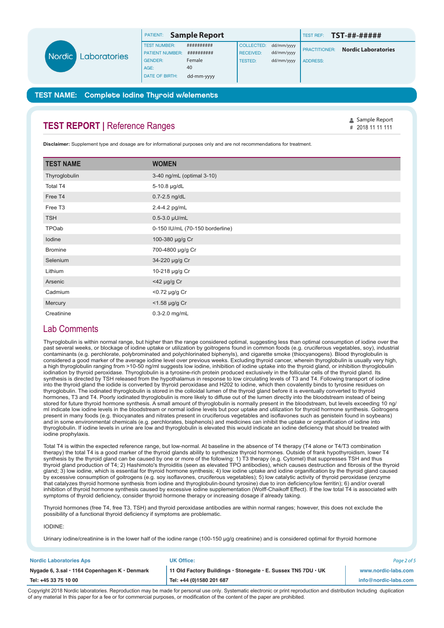|  |              | PATIENT:               | <b>Sample Report</b> |                   |            | <b>TEST REF:</b>       | TST-##-#####               |
|--|--------------|------------------------|----------------------|-------------------|------------|------------------------|----------------------------|
|  |              | <b>TEST NUMBER:</b>    | ##########           | <b>COLLECTED:</b> | dd/mm/yyyy |                        |                            |
|  | Laboratories | <b>PATIENT NUMBER:</b> | ##########           | <b>RECEIVED:</b>  | dd/mm/yyyy | <b>I PRACTITIONER:</b> | <b>Nordic Laboratories</b> |
|  |              | <b>GENDER:</b>         | Female               | <b>TESTED:</b>    | dd/mm/yyyy | <b>ADDRESS:</b>        |                            |
|  |              | AGE:                   | 40                   |                   |            |                        |                            |
|  |              | DATE OF BIRTH:         | dd-mm-yyyy           |                   |            |                        |                            |

*#* Sample Report

## TEST NAME: Complete Iodine Thyroid w/elements

# **TEST REPORT | Reference Ranges**

Nord

**Disclaimer:** Supplement type and dosage are for informational purposes only and are not recommendations for treatment.

| <b>TEST NAME</b>    | <b>WOMEN</b>                    |  |  |  |
|---------------------|---------------------------------|--|--|--|
| Thyroglobulin       | 3-40 ng/mL (optimal 3-10)       |  |  |  |
| Total T4            | 5-10.8 µg/dL                    |  |  |  |
| Free T4             | 0.7-2.5 ng/dL                   |  |  |  |
| Free T <sub>3</sub> | 2.4-4.2 pg/mL                   |  |  |  |
| <b>TSH</b>          | $0.5 - 3.0 \mu U/mL$            |  |  |  |
| TPOab               | 0-150 IU/mL (70-150 borderline) |  |  |  |
| lodine              | 100-380 µg/g Cr                 |  |  |  |
| <b>Bromine</b>      | 700-4800 µg/g Cr                |  |  |  |
| Selenium            | 34-220 µg/g Cr                  |  |  |  |
| Lithium             | 10-218 µg/g Cr                  |  |  |  |
| Arsenic             | $<$ 42 µg/g Cr                  |  |  |  |
| Cadmium             | <0.72 µg/g Cr                   |  |  |  |
| Mercury             | <1.58 µg/g Cr                   |  |  |  |
| Creatinine          | $0.3 - 2.0$ mg/mL               |  |  |  |

# Lab Comments

Thyroglobulin is within normal range, but higher than the range considered optimal, suggesting less than optimal consumption of iodine over the past several weeks, or blockage of iodine uptake or utilization by goitrogens found in common foods (e.g. cruciferous vegetables, soy), industrial contaminants (e.g. perchlorate, polybrominated and polychlorinated biphenyls), and cigarette smoke (thiocyanogens). Blood thyroglobulin is considered a good marker of the average iodine level over previous weeks. Excluding thyroid cancer, wherein thyroglobulin is usually very high, a high thyroglobulin ranging from >10-50 ng/ml suggests low iodine, inhibition of iodine uptake into the thyroid gland, or inhibition thyroglobulin iodination by thyroid peroxidase. Thyroglobulin is a tyrosine-rich protein produced exclusively in the follicular cells of the thyroid gland. Its synthesis is directed by TSH released from the hypothalamus in response to low circulating levels of T3 and T4. Following transport of iodine into the thyroid gland the iodide is converted by thyroid peroxidase and H202 to iodine, which then covalently binds to tyrosine residues on thyroglobulin. The iodinated thyroglobulin is stored in the colloidal lumen of the thyroid gland before it is eventually converted to thyroid hormones, T3 and T4. Poorly iodinated thyroglobulin is more likely to diffuse out of the lumen directly into the bloodstream instead of being stored for future thyroid hormone synthesis. A small amount of thyroglobulin is normally present in the bloodstream, but levels exceeding 10 ng/ ml indicate low iodine levels in the bloodstream or normal iodine levels but poor uptake and utilization for thyroid hormone synthesis. Goitrogens present in many foods (e.g. thiocyanates and nitrates present in cruciferous vegetables and isoflavones such as genistein found in soybeans) and in some environmental chemicals (e.g. perchlorates, bisphenols) and medicines can inhibit the uptake or organification of iodine into thyroglobulin. If iodine levels in urine are low and thyroglobulin is elevated this would indicate an iodine deficiency that should be treated with iodine prophylaxis.

Total T4 is within the expected reference range, but low-normal. At baseline in the absence of T4 therapy (T4 alone or T4/T3 combination therapy) the total T4 is a good marker of the thyroid glands ability to synthesize thyroid hormones. Outside of frank hypothyroidism, lower T4 synthesis by the thyroid gland can be caused by one or more of the following: 1) T3 therapy (e.g. Cytomel) that suppresses TSH and thus thyroid gland production of T4; 2) Hashimoto's thyroiditis (seen as elevated TPO antibodies), which causes destruction and fibrosis of the thyroid gland; 3) low iodine, which is essential for thyroid hormone synthesis; 4) low iodine uptake and iodine organification by the thyroid gland caused by excessive consumption of goitrogens (e.g. soy isoflavones, cruciferous vegetables); 5) low catalytic activity of thyroid peroxidase (enzyme that catalyzes thyroid hormone synthesis from iodine and thyroglobulin-bound tyrosine) due to iron deficiency/low ferritin); 6) and/or overall inhibition of thyroid hormone synthesis caused by excessive iodine supplementation (Wolff-Chaikoff Effect). If the low total T4 is associated with symptoms of thyroid deficiency, consider thyroid hormone therapy or increasing dosage if already taking.

Thyroid hormones (free T4, free T3, TSH) and thyroid peroxidase antibodies are within normal ranges; however, this does not exclude the possibility of a functional thyroid deficiency if symptoms are problematic.

IODINE:

Urinary iodine/creatinine is in the lower half of the iodine range (100-150 ug/g creatinine) and is considered optimal for thyroid hormone

| <b>Nordic Laboratories Aps</b>                            | <b>UK Office:</b>                                             | Page 2 of 5          |
|-----------------------------------------------------------|---------------------------------------------------------------|----------------------|
| Nygade 6, 3.sal $\cdot$ 1164 Copenhagen K $\cdot$ Denmark | 11 Old Factory Buildings · Stonegate · E. Sussex TN5 7DU · UK | www.nordic-labs.com  |
| Tel: +45 33 75 10 00                                      | Tel: +44 (0)1580 201 687                                      | info@nordic-labs.com |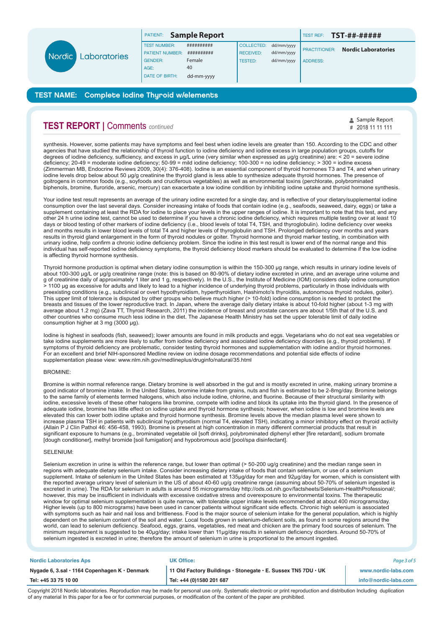|  |                     | PATIENT:               | <b>Sample Report</b> |                  |            | <b>TEST REF:</b>     | <b>TST-##-#####</b>        |
|--|---------------------|------------------------|----------------------|------------------|------------|----------------------|----------------------------|
|  | Nordic Laboratories | <b>TEST NUMBER:</b>    | ##########           | COLLECTED:       | dd/mm/yyyy |                      | <b>Nordic Laboratories</b> |
|  |                     | <b>PATIENT NUMBER:</b> | ##########           | <b>RECEIVED:</b> | dd/mm/yyyy | <b>PRACTITIONER:</b> |                            |
|  |                     | <b>GENDER:</b>         | Female               | TESTED:          | dd/mm/yyyy | <b>ADDRESS:</b>      |                            |
|  |                     | AGE:                   | 40                   |                  |            |                      |                            |
|  |                     | <b>DATE OF BIRTH:</b>  | dd-mm-yyyy           |                  |            |                      |                            |

# **TEST REPORT |** Comments *continued*

synthesis. However, some patients may have symptoms and feel best when iodine levels are greater than 150. According to the CDC and other agencies that have studied the relationship of thyroid function to iodine deficiency and iodine excess in large population groups, cutoffs for degrees of iodine deficiency, sufficiency, and excess in µg/L urine (very similar when expressed as µg/g creatinine) are: < 20 = severe iodine deficiency; 20-49 = moderate iodine deficiency; 50-99 = mild iodine deficiency; 100-300 = no iodine deficiency; > 300 = iodine excess (Zimmerman MB, Endocrine Reviews 2009, 30(4): 376-408). Iodine is an essential component of thyroid hormones T3 and T4, and when urinary iodine levels drop below about 50 µg/g creatinine the thyroid gland is less able to synthesize adequate thyroid hormones. The presence of goitrogens in common foods (e.g., soyfoods and cruciferous vegetables) as well as environmental toxins (perchlorate, polybrominated biphenols, bromine, fluroride, arsenic, mercury) can exacerbate a low iodine condition by inhibiting iodine uptake and thyroid hormone synthesis.

*#* 2018 11 11 111Sample Report

Your iodine test result represents an average of the urinary iodine excreted for a single day, and is reflective of your dietary/supplemental iodine consumption over the last several days. Consider increasing intake of foods that contain iodine (e.g., seafoods, seaweed, dairy, eggs) or take a supplement containing at least the RDA for iodine to place your levels in the upper ranges of iodine. It is important to note that this test, and any other 24 h urine iodine test, cannot be used to determine if you have a chronic iodine deficiency, which requires multiple testing over at least 10 days or blood testing of other markers of iodine deficiency (i.e., blood levels of total T4, TSH, and thyroglobulin). Iodine deficiency over weeks and months results in lower blood levels of total T4 and higher levels of thyroglobulin and TSH. Prolonged deficiency over months and years results in thyroid gland enlargement in the form of thyroid nodules or goiter. Thyroid hormone and thyroid marker testing, in combination with urinary iodine, help confirm a chronic iodine deficiency problem. Since the iodine in this test result is lower end of the normal range and this individual has self-reported iodine deficiency symptoms, the thyroid deficiency blood markers should be evaluated to determine if the low iodine is affecting thyroid hormone synthesis.

Thyroid hormone production is optimal when dietary iodine consumption is within the 150-300 µg range, which results in urinary iodine levels of about 100-300 µg/L or µg/g creatinine range (note: this is based on 80-90% of dietary iodine excreted in urine, and an average urine volume and g of creatinine daily of approximately 1 liter and 1 g, respectively). In the U.S., the Institute of Medicine (IOM) considers daily iodine consumption > 1100 µg as excessive for adults and likely to lead to a higher incidence of underlying thyroid problems, particularly in those individuals with preexisting conditions (e.g., subclinical or overt hypothyroidism, hyperthyroidism, Hashimoto's thyroiditis, autonomous thyroid nodules, goiter). This upper limit of tolerance is disputed by other groups who believe much higher (> 10-fold) iodine consumption is needed to protect the breasts and tissues of the lower reproductive tract. In Japan, where the average daily dietary intake is about 10-fold higher (about 1-3 mg with average about 1.2 mg) (Zava TT, Thyroid Research, 2011) the incidence of breast and prostate cancers are about 1/5th that of the U.S. and other countries who consume much less iodine in the diet. The Japanese Health Ministry has set the upper tolerable limit of daily iodine consumption higher at 3 mg (3000 µg).

Iodine is highest in seafoods (fish, seaweed); lower amounts are found in milk products and eggs. Vegetarians who do not eat sea vegetables or take iodine supplements are more likely to suffer from iodine deficiency and associated iodine deficiency disorders (e.g., thyroid problems). If symptoms of thyroid deficiency are problematic, consider testing thyroid hormones and supplementation with iodine and/or thyroid hormones. For an excellent and brief NIH-sponsored Medline review on iodine dosage recommendations and potential side effects of iodine supplementation please view: www.nlm.nih.gov/medlineplus/druginfo/natural/35.html

### BROMINE:

Bromine is within normal reference range. Dietary bromine is well absorbed in the gut and is mostly excreted in urine, making urinary bromine a good indicator of bromine intake. In the United States, bromine intake from grains, nuts and fish is estimated to be 2-8mg/day. Bromine belongs to the same family of elements termed halogens, which also include iodine, chlorine, and fluorine. Because of their structural similarity with iodine, excessive levels of these other halogens like bromine, compete with iodine and block its uptake into the thyroid gland. In the presence of adequate iodine, bromine has little effect on iodine uptake and thyroid hormone synthesis; however, when iodine is low and bromine levels are elevated this can lower both iodine uptake and thyroid hormone synthesis. Bromine levels above the median plasma level were shown to increase plasma TSH in patients with subclinical hypothyrodism (normal T4, elevated TSH), indicating a minor inhibitory effect on thyroid activity (Allain P J Clin Pathol 46: 456-458, 1993). Bromine is present at high concentration in many different commercial products that result in significant exposure to humans (e.g., brominated vegetable oil [soft drinks], polybrominated diphenyl ether [fire retardant], sodium bromate [dough conditioner], methyl bromide [soil fumigation] and hypobromous acid [pool/spa disinfectant].

## SELENIUM:

Selenium excretion in urine is within the reference range, but lower than optimal (> 50-200 ug/g creatinine) and the median range seen in regions with adequate dietary selenium intake. Consider increasing dietary intake of foods that contain selenium, or use of a selenium supplement. Intake of selenium in the United States has been estimated at 135µg/day for men and 92µg/day for women, which is consistent with the reported average urinary level of selenium in the US of about 40-60 ug/g creatinine range (assuming about 50-70% of selenium ingested is excreted in urine). The RDA for selenium in adults is around 55 micrograms/day http://ods.od.nih.gov/factsheets/Selenium-HealthProfessional/; however, this may be insufficient in individuals with excessive oxidative stress and overexposure to environmental toxins. The therapeutic window for optimal selenium supplementation is quite narrow, with tolerable upper intake levels recommended at about 400 micrograms/day. Higher levels (up to 800 micrograms) have been used in cancer patients without significant side effects. Chronic high selenium is associated with symptoms such as hair and nail loss and brittleness. Food is the major source of selenium intake for the general population, which is highly dependent on the selenium content of the soil and water. Local foods grown in selenium-deficient soils, as found in some regions around the world, can lead to selenium deficiency. Seafood, eggs, grains, vegetables, red meat and chicken are the primary food sources of selenium. The minimum requirement is suggested to be 40µg/day; intake lower than 11µg/day results in selenium deficiency disorders. Around 50-70% of selenium ingested is excreted in urine; therefore the amount of selenium in urine is proportional to the amount ingested.

| <b>Nordic Laboratories Aps</b>                | <b>UK Office:</b>                                             | Page 3 of 5          |
|-----------------------------------------------|---------------------------------------------------------------|----------------------|
| Nygade 6, 3.sal · 1164 Copenhagen K · Denmark | 11 Old Factory Buildings · Stonegate · E. Sussex TN5 7DU · UK | www.nordic-labs.com  |
| Tel: +45 33 75 10 00                          | <sup>1</sup> Tel: +44 (0)1580 201 687                         | info@nordic-labs.com |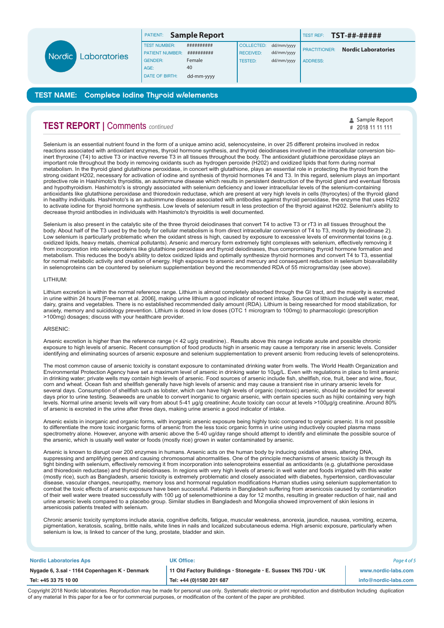|               |              | PATIENT:               | <b>Sample Report</b> |                  |            | TEST REF:            | TST-##-#####               |
|---------------|--------------|------------------------|----------------------|------------------|------------|----------------------|----------------------------|
|               |              | <b>TEST NUMBER:</b>    | ##########           | COLLECTED:       | dd/mm/yyyy |                      | <b>Nordic Laboratories</b> |
| <b>Nordic</b> | Laboratories | <b>PATIENT NUMBER:</b> | ##########           | <b>RECEIVED:</b> | dd/mm/yyyy | <b>PRACTITIONER:</b> |                            |
|               |              | <b>GENDER:</b>         | Female               | <b>TESTED:</b>   | dd/mm/yyyy | <b>ADDRESS:</b>      |                            |
|               |              | AGE:                   | 40                   |                  |            |                      |                            |
|               |              | <b>DATE OF BIRTH:</b>  | dd-mm-yyyy           |                  |            |                      |                            |

# **TEST REPORT |** Comments *continued*

Selenium is an essential nutrient found in the form of a unique amino acid, selenocysteine, in over 25 different proteins involved in redox reactions associated with antioxidant enzymes, thyroid hormone synthesis, and thyroid deiodinases involved in the intracellular conversion bioinert thyroxine (T4) to active T3 or inactive reverse T3 in all tissues throughout the body. The antioxidant glutathione peroxidase plays an important role throughout the body in removing oxidants such as hydrogen peroxide (H202) and oxidized lipids that form during normal metabolism. In the thyroid gland glutathione peroxidase, in concert with glutathione, plays an essential role in protecting the thyroid from the strong oxidant H202, necessary for activation of iodine and synthesis of thyroid hormones T4 and T3. In this regard, selenium plays an important protective role in Hashimoto's thyroiditis, an autoimmune disease which results in persistent destruction of the thyroid gland and eventual fibrosis and hypothyroidism. Hashimoto's is strongly associated with selenium deficiency and lower intracellular levels of the selenium-containing antioxidants like glutathione peroxidase and thioredoxin reductase, which are present at very high levels in cells (thyrocytes) of the thyroid gland in healthy individuals. Hashimoto's is an autoimmune disease associated with antibodies against thyroid peroxidase, the enzyme that uses H202 to activate iodine for thyroid hormone synthesis. Low levels of selenium result in less protection of the thyroid against H202. Selenium's ability to decrease thyroid antibodies in individuals with Hashimoto's thyroiditis is well documented.

*#* 2018 11 11 111Sample Report

Selenium is also present in the catalytic site of the three thyroid deiodinases that convert T4 to active T3 or rT3 in all tissues throughout the body. About half of the T3 used by the body for cellular metabolism is from direct intracellular conversion of T4 to T3, mostly by deiodinase 2). Low selenium is particularly problematic when the oxidant stress is high, caused by exposure to excessive levels of environmental toxins (e.g. oxidized lipids, heavy metals, chemical pollutants). Arsenic and mercury form extremely tight complexes with selenium, effectively removing it from incorporation into selenoproteins like glutathione peroxidase and thyroid deiodinases, thus compromising thyroid hormone formation and metabolism. This reduces the body's ability to detox oxidized lipids and optimally synthesize thyroid hormones and convert T4 to T3, essential for normal metabolic activity and creation of energy. High exposure to arsenic and mercury and consequent reduction in selenium bioavailability in selenoproteins can be countered by selenium supplementation beyond the recommended RDA of 55 micrograms/day (see above).

### LITHIUM:

Lithium excretion is within the normal reference range. Lithium is almost completely absorbed through the GI tract, and the majority is excreted in urine within 24 hours [Freeman et al. 2006], making urine lithium a good indicator of recent intake. Sources of lithium include well water, meat, dairy, grains and vegetables. There is no established recommended daily amount (RDA). Lithium is being researched for mood stabilization, for anxiety, memory and suicidology prevention. Lithium is dosed in low doses (OTC 1 microgram to 100mg) to pharmacologic (prescription >100mg) dosages; discuss with your healthcare provider.

#### ARSENIC:

Arsenic excretion is higher than the reference range (< 42 ug/g creatinine).. Results above this range indicate acute and possible chronic exposure to high levels of arsenic. Recent consumption of food products high in arsenic may cause a temporary rise in arsenic levels. Consider identifying and eliminating sources of arsenic exposure and selenium supplementation to prevent arsenic from reducing levels of selenoproteins.

The most common cause of arsenic toxicity is constant exposure to contaminated drinking water from wells. The World Health Organization and Environmental Protection Agency have set a maximum level of arsenic in drinking water to 10µg/L. Even with regulations in place to limit arsenic in drinking water; private wells may contain high levels of arsenic. Food sources of arsenic include fish, shellfish, rice, fruit, beer and wine, flour, corn and wheat. Ocean fish and shellfish generally have high levels of arsenic and may cause a transient rise in urinary arsenic levels for several days. Consumption of shellfish such as lobster, which can have high levels of organic (nontoxic) arsenic, should be avoided for several days prior to urine testing. Seaweeds are unable to convert inorganic to organic arsenic, with certain species such as hijiki containing very high levels. Normal urine arsenic levels will vary from about 5-41 µg/g creatinine; Acute toxicity can occur at levels >100µg/g creatinine. Around 80% of arsenic is excreted in the urine after three days, making urine arsenic a good indicator of intake.

Arsenic exists in inorganic and organic forms, with inorganic arsenic exposure being highly toxic compared to organic arsenic. It is not possible to differentiate the more toxic inorganic forms of arsenic from the less toxic organic forms in urine using inductively coupled plasma mass spectrometry alone. However, anyone with arsenic above the 5-40 ug/day range should attempt to identify and eliminate the possible source of the arsenic, which is usually well water or foods (mostly rice) grown in water contaminated by arsenic.

Arsenic is known to disrupt over 200 enzymes in humans. Arsenic acts on the human body by inducing oxidative stress, altering DNA, suppressing and amplifying genes and causing chromosomal abnormalities. One of the principle mechanisms of arsenic toxicity is through its tight binding with selenium, effectively removing it from incorporation into selenoproteins essential as antioxidants (e.g. glutathione peroxidase and thioredoxin reductase) and thyroid deiodinases. In regions with very high levels of arsenic in well water and foods irrigated with this water (mostly rice), such as Bangladesh, arsenic toxicity is extremely problematic and closely associated with diabetes, hypertension, cardiovascular disease, vascular changes, neuropathy, memory loss and hormonal regulation modifications Human studies using selenium supplementation to combat the toxic effects of arsenic exposure have been successful. Patients in Bangladesh suffering from arsenicosis caused by contamination of their well water were treated successfully with 100 µg of selenomethionine a day for 12 months, resulting in greater reduction of hair, nail and urine arsenic levels compared to a placebo group. Similar studies in Bangladesh and Mongolia showed improvement of skin lesions in arsenicosis patients treated with selenium.

Chronic arsenic toxicity symptoms include ataxia, cognitive deficits, fatigue, muscular weakness, anorexia, jaundice, nausea, vomiting, eczema, pigmentation, keratosis, scaling, brittle nails, white lines in nails and localized subcutaneous edema. High arsenic exposure, particularly when selenium is low, is linked to cancer of the lung, prostate, bladder and skin.

| <b>Nordic Laboratories Aps</b>                | <b>UK Office:</b>                                             | Page 4 of 5          |
|-----------------------------------------------|---------------------------------------------------------------|----------------------|
| Nygade 6, 3.sal · 1164 Copenhagen K · Denmark | 11 Old Factory Buildings · Stonegate · E. Sussex TN5 7DU · UK | www.nordic-labs.com  |
| Tel: +45 33 75 10 00                          | Tel: +44 (0)1580 201 687                                      | info@nordic-labs.com |